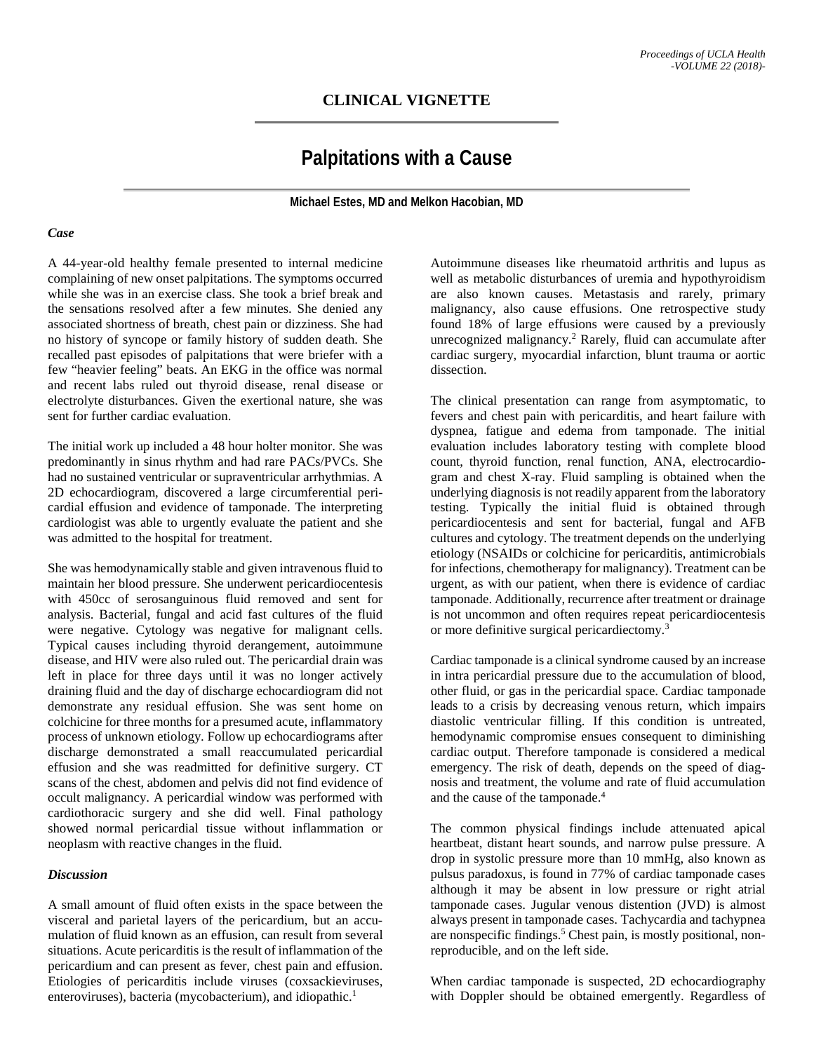## **CLINICAL VIGNETTE**

# **Palpitations with a Cause**

**Michael Estes, MD and Melkon Hacobian, MD**

#### *Case*

A 44-year-old healthy female presented to internal medicine complaining of new onset palpitations. The symptoms occurred while she was in an exercise class. She took a brief break and the sensations resolved after a few minutes. She denied any associated shortness of breath, chest pain or dizziness. She had no history of syncope or family history of sudden death. She recalled past episodes of palpitations that were briefer with a few "heavier feeling" beats. An EKG in the office was normal and recent labs ruled out thyroid disease, renal disease or electrolyte disturbances. Given the exertional nature, she was sent for further cardiac evaluation.

The initial work up included a 48 hour holter monitor. She was predominantly in sinus rhythm and had rare PACs/PVCs. She had no sustained ventricular or supraventricular arrhythmias. A 2D echocardiogram, discovered a large circumferential pericardial effusion and evidence of tamponade. The interpreting cardiologist was able to urgently evaluate the patient and she was admitted to the hospital for treatment.

She was hemodynamically stable and given intravenous fluid to maintain her blood pressure. She underwent pericardiocentesis with 450cc of serosanguinous fluid removed and sent for analysis. Bacterial, fungal and acid fast cultures of the fluid were negative. Cytology was negative for malignant cells. Typical causes including thyroid derangement, autoimmune disease, and HIV were also ruled out. The pericardial drain was left in place for three days until it was no longer actively draining fluid and the day of discharge echocardiogram did not demonstrate any residual effusion. She was sent home on colchicine for three months for a presumed acute, inflammatory process of unknown etiology. Follow up echocardiograms after discharge demonstrated a small reaccumulated pericardial effusion and she was readmitted for definitive surgery. CT scans of the chest, abdomen and pelvis did not find evidence of occult malignancy. A pericardial window was performed with cardiothoracic surgery and she did well. Final pathology showed normal pericardial tissue without inflammation or neoplasm with reactive changes in the fluid.

#### *Discussion*

A small amount of fluid often exists in the space between the visceral and parietal layers of the pericardium, but an accumulation of fluid known as an effusion, can result from several situations. Acute pericarditis is the result of inflammation of the pericardium and can present as fever, chest pain and effusion. Etiologies of pericarditis include viruses (coxsackieviruses, enteroviruses), bacteria (mycobacterium), and idiopathic.<sup>1</sup>

Autoimmune diseases like rheumatoid arthritis and lupus as well as metabolic disturbances of uremia and hypothyroidism are also known causes. Metastasis and rarely, primary malignancy, also cause effusions. One retrospective study found 18% of large effusions were caused by a previously unrecognized malignancy. <sup>2</sup> Rarely, fluid can accumulate after cardiac surgery, myocardial infarction, blunt trauma or aortic dissection.

The clinical presentation can range from asymptomatic, to fevers and chest pain with pericarditis, and heart failure with dyspnea, fatigue and edema from tamponade. The initial evaluation includes laboratory testing with complete blood count, thyroid function, renal function, ANA, electrocardiogram and chest X-ray. Fluid sampling is obtained when the underlying diagnosis is not readily apparent from the laboratory testing. Typically the initial fluid is obtained through pericardiocentesis and sent for bacterial, fungal and AFB cultures and cytology. The treatment depends on the underlying etiology (NSAIDs or colchicine for pericarditis, antimicrobials for infections, chemotherapy for malignancy). Treatment can be urgent, as with our patient, when there is evidence of cardiac tamponade. Additionally, recurrence after treatment or drainage is not uncommon and often requires repeat pericardiocentesis or more definitive surgical pericardiectomy. 3

Cardiac tamponade is a clinical syndrome caused by an increase in intra pericardial pressure due to the accumulation of blood, other fluid, or gas in the pericardial space. Cardiac tamponade leads to a crisis by decreasing venous return, which impairs diastolic ventricular filling. If this condition is untreated, hemodynamic compromise ensues consequent to diminishing cardiac output. Therefore tamponade is considered a medical emergency. The risk of death, depends on the speed of diagnosis and treatment, the volume and rate of fluid accumulation and the cause of the tamponade.4

The common physical findings include attenuated apical heartbeat, distant heart sounds, and narrow pulse pressure. A drop in systolic pressure more than 10 mmHg, also known as pulsus paradoxus, is found in 77% of cardiac tamponade cases although it may be absent in low pressure or right atrial tamponade cases. Jugular venous distention (JVD) is almost always present in tamponade cases. Tachycardia and tachypnea are nonspecific findings.<sup>5</sup> Chest pain, is mostly positional, nonreproducible, and on the left side.

When cardiac tamponade is suspected, 2D echocardiography with Doppler should be obtained emergently. Regardless of